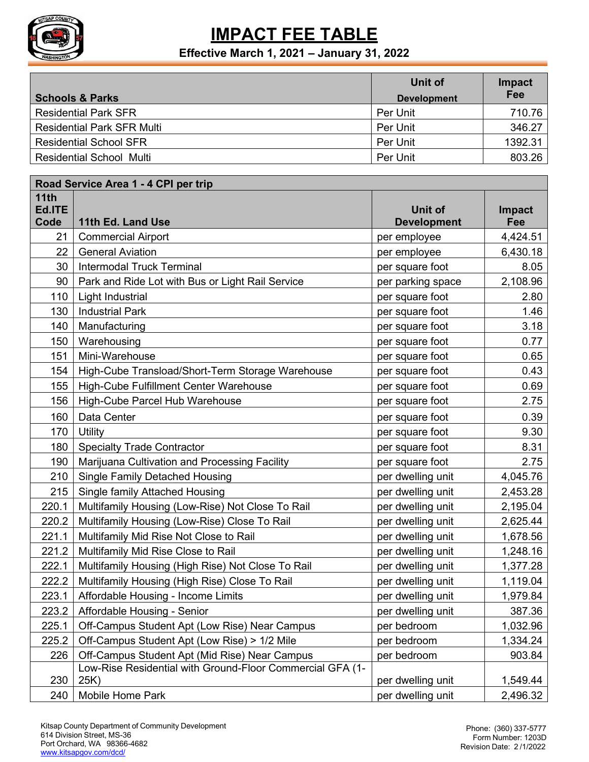

|                                   | Unit of            | Impact  |
|-----------------------------------|--------------------|---------|
| <b>Schools &amp; Parks</b>        | <b>Development</b> | Fee     |
| <b>Residential Park SFR</b>       | Per Unit           | 710.76  |
| <b>Residential Park SFR Multi</b> | Per Unit           | 346.27  |
| <b>Residential School SFR</b>     | Per Unit           | 1392.31 |
| <b>Residential School Multi</b>   | Per Unit           | 803.26  |

| Road Service Area 1 - 4 CPI per trip |                                                                   |                               |               |
|--------------------------------------|-------------------------------------------------------------------|-------------------------------|---------------|
| 11th<br>Ed.ITE<br>Code               | 11th Ed. Land Use                                                 | Unit of<br><b>Development</b> | Impact<br>Fee |
| 21                                   | <b>Commercial Airport</b>                                         | per employee                  | 4,424.51      |
| 22                                   | <b>General Aviation</b>                                           | per employee                  | 6,430.18      |
| 30                                   | <b>Intermodal Truck Terminal</b>                                  | per square foot               | 8.05          |
| 90                                   | Park and Ride Lot with Bus or Light Rail Service                  | per parking space             | 2,108.96      |
| 110                                  | Light Industrial                                                  | per square foot               | 2.80          |
| 130                                  | <b>Industrial Park</b>                                            | per square foot               | 1.46          |
| 140                                  | Manufacturing                                                     | per square foot               | 3.18          |
| 150                                  | Warehousing                                                       | per square foot               | 0.77          |
| 151                                  | Mini-Warehouse                                                    | per square foot               | 0.65          |
| 154                                  | High-Cube Transload/Short-Term Storage Warehouse                  | per square foot               | 0.43          |
| 155                                  | High-Cube Fulfillment Center Warehouse                            | per square foot               | 0.69          |
| 156                                  | High-Cube Parcel Hub Warehouse                                    | per square foot               | 2.75          |
| 160                                  | Data Center                                                       | per square foot               | 0.39          |
| 170                                  | Utility                                                           | per square foot               | 9.30          |
| 180                                  | <b>Specialty Trade Contractor</b>                                 | per square foot               | 8.31          |
| 190                                  | Marijuana Cultivation and Processing Facility                     | per square foot               | 2.75          |
| 210                                  | <b>Single Family Detached Housing</b>                             | per dwelling unit             | 4,045.76      |
| 215                                  | <b>Single family Attached Housing</b>                             | per dwelling unit             | 2,453.28      |
| 220.1                                | Multifamily Housing (Low-Rise) Not Close To Rail                  | per dwelling unit             | 2,195.04      |
| 220.2                                | Multifamily Housing (Low-Rise) Close To Rail                      | per dwelling unit             | 2,625.44      |
| 221.1                                | Multifamily Mid Rise Not Close to Rail                            | per dwelling unit             | 1,678.56      |
| 221.2                                | Multifamily Mid Rise Close to Rail                                | per dwelling unit             | 1,248.16      |
| 222.1                                | Multifamily Housing (High Rise) Not Close To Rail                 | per dwelling unit             | 1,377.28      |
| 222.2                                | Multifamily Housing (High Rise) Close To Rail                     | per dwelling unit             | 1,119.04      |
| 223.1                                | Affordable Housing - Income Limits                                | per dwelling unit             | 1,979.84      |
| 223.2                                | Affordable Housing - Senior                                       | per dwelling unit             | 387.36        |
| 225.1                                | Off-Campus Student Apt (Low Rise) Near Campus                     | per bedroom                   | 1,032.96      |
| 225.2                                | Off-Campus Student Apt (Low Rise) > 1/2 Mile                      | per bedroom                   | 1,334.24      |
| 226                                  | Off-Campus Student Apt (Mid Rise) Near Campus                     | per bedroom                   | 903.84        |
| 230                                  | Low-Rise Residential with Ground-Floor Commercial GFA (1-<br>25K) | per dwelling unit             | 1,549.44      |
| 240                                  | Mobile Home Park                                                  | per dwelling unit             | 2,496.32      |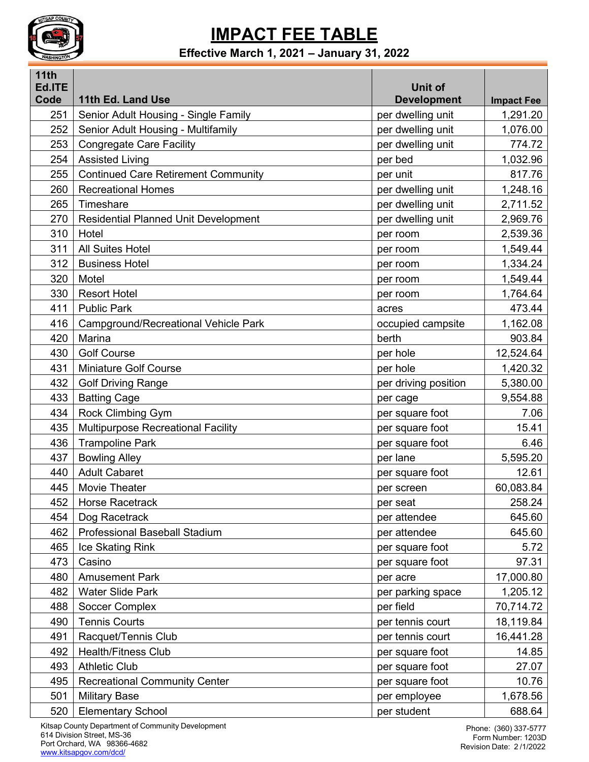

| <b>11th</b><br>Ed.ITE |                                             | <b>Unit of</b>       |                   |
|-----------------------|---------------------------------------------|----------------------|-------------------|
| Code                  | 11th Ed. Land Use                           | <b>Development</b>   | <b>Impact Fee</b> |
| 251                   | Senior Adult Housing - Single Family        | per dwelling unit    | 1,291.20          |
| 252                   | Senior Adult Housing - Multifamily          | per dwelling unit    | 1,076.00          |
| 253                   | <b>Congregate Care Facility</b>             | per dwelling unit    | 774.72            |
| 254                   | <b>Assisted Living</b>                      | per bed              | 1,032.96          |
| 255                   | <b>Continued Care Retirement Community</b>  | per unit             | 817.76            |
| 260                   | <b>Recreational Homes</b>                   | per dwelling unit    | 1,248.16          |
| 265                   | Timeshare                                   | per dwelling unit    | 2,711.52          |
| 270                   | <b>Residential Planned Unit Development</b> | per dwelling unit    | 2,969.76          |
| 310                   | Hotel                                       | per room             | 2,539.36          |
| 311                   | <b>All Suites Hotel</b>                     | per room             | 1,549.44          |
| 312                   | <b>Business Hotel</b>                       | per room             | 1,334.24          |
| 320                   | Motel                                       | per room             | 1,549.44          |
| 330                   | <b>Resort Hotel</b>                         | per room             | 1,764.64          |
| 411                   | <b>Public Park</b>                          | acres                | 473.44            |
| 416                   | Campground/Recreational Vehicle Park        | occupied campsite    | 1,162.08          |
| 420                   | Marina                                      | berth                | 903.84            |
| 430                   | <b>Golf Course</b>                          | per hole             | 12,524.64         |
| 431                   | <b>Miniature Golf Course</b>                | per hole             | 1,420.32          |
| 432                   | <b>Golf Driving Range</b>                   | per driving position | 5,380.00          |
| 433                   | <b>Batting Cage</b>                         | per cage             | 9,554.88          |
| 434                   | Rock Climbing Gym                           | per square foot      | 7.06              |
| 435                   | <b>Multipurpose Recreational Facility</b>   | per square foot      | 15.41             |
| 436                   | <b>Trampoline Park</b>                      | per square foot      | 6.46              |
| 437                   | <b>Bowling Alley</b>                        | per lane             | 5,595.20          |
| 440                   | <b>Adult Cabaret</b>                        | per square foot      | 12.61             |
| 445                   | Movie Theater                               | per screen           | 60,083.84         |
| 452                   | Horse Racetrack                             | per seat             | 258.24            |
| 454                   | Dog Racetrack                               | per attendee         | 645.60            |
| 462                   | Professional Baseball Stadium               | per attendee         | 645.60            |
| 465                   | Ice Skating Rink                            | per square foot      | 5.72              |
| 473                   | Casino                                      | per square foot      | 97.31             |
| 480                   | <b>Amusement Park</b>                       | per acre             | 17,000.80         |
| 482                   | <b>Water Slide Park</b>                     | per parking space    | 1,205.12          |
| 488                   | Soccer Complex                              | per field            | 70,714.72         |
| 490                   | <b>Tennis Courts</b>                        | per tennis court     | 18,119.84         |
| 491                   | Racquet/Tennis Club                         | per tennis court     | 16,441.28         |
| 492                   | <b>Health/Fitness Club</b>                  | per square foot      | 14.85             |
| 493                   | <b>Athletic Club</b>                        | per square foot      | 27.07             |
| 495                   | <b>Recreational Community Center</b>        | per square foot      | 10.76             |
| 501                   | <b>Military Base</b>                        | per employee         | 1,678.56          |
| 520                   | <b>Elementary School</b>                    | per student          | 688.64            |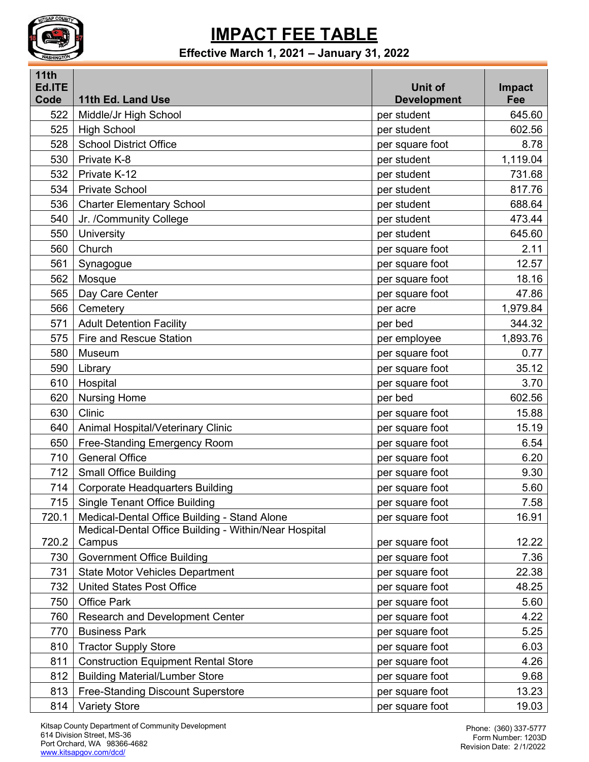

| 11th<br>Ed.ITE |                                                       | <b>Unit of</b>     | Impact   |
|----------------|-------------------------------------------------------|--------------------|----------|
| Code           | 11th Ed. Land Use                                     | <b>Development</b> | Fee      |
| 522            | Middle/Jr High School                                 | per student        | 645.60   |
| 525            | <b>High School</b>                                    | per student        | 602.56   |
| 528            | <b>School District Office</b>                         | per square foot    | 8.78     |
| 530            | Private K-8                                           | per student        | 1,119.04 |
| 532            | Private K-12                                          | per student        | 731.68   |
| 534            | <b>Private School</b>                                 | per student        | 817.76   |
| 536            | <b>Charter Elementary School</b>                      | per student        | 688.64   |
| 540            | Jr. /Community College                                | per student        | 473.44   |
| 550            | University                                            | per student        | 645.60   |
| 560            | Church                                                | per square foot    | 2.11     |
| 561            | Synagogue                                             | per square foot    | 12.57    |
| 562            | Mosque                                                | per square foot    | 18.16    |
| 565            | Day Care Center                                       | per square foot    | 47.86    |
| 566            | Cemetery                                              | per acre           | 1,979.84 |
| 571            | <b>Adult Detention Facility</b>                       | per bed            | 344.32   |
| 575            | <b>Fire and Rescue Station</b>                        | per employee       | 1,893.76 |
| 580            | Museum                                                | per square foot    | 0.77     |
| 590            | Library                                               | per square foot    | 35.12    |
| 610            | Hospital                                              | per square foot    | 3.70     |
| 620            | <b>Nursing Home</b>                                   | per bed            | 602.56   |
| 630            | Clinic                                                | per square foot    | 15.88    |
| 640            | Animal Hospital/Veterinary Clinic                     | per square foot    | 15.19    |
| 650            | Free-Standing Emergency Room                          | per square foot    | 6.54     |
| 710            | <b>General Office</b>                                 | per square foot    | 6.20     |
| 712            | <b>Small Office Building</b>                          | per square foot    | 9.30     |
| 714            | <b>Corporate Headquarters Building</b>                | per square foot    | 5.60     |
| 715            | <b>Single Tenant Office Building</b>                  | per square foot    | 7.58     |
| 720.1          | Medical-Dental Office Building - Stand Alone          | per square foot    | 16.91    |
|                | Medical-Dental Office Building - Within/Near Hospital |                    |          |
| 720.2          | Campus                                                | per square foot    | 12.22    |
| 730            | <b>Government Office Building</b>                     | per square foot    | 7.36     |
| 731            | <b>State Motor Vehicles Department</b>                | per square foot    | 22.38    |
| 732            | <b>United States Post Office</b>                      | per square foot    | 48.25    |
| 750            | <b>Office Park</b>                                    | per square foot    | 5.60     |
| 760            | <b>Research and Development Center</b>                | per square foot    | 4.22     |
| 770            | <b>Business Park</b>                                  | per square foot    | 5.25     |
| 810            | <b>Tractor Supply Store</b>                           | per square foot    | 6.03     |
| 811            | <b>Construction Equipment Rental Store</b>            | per square foot    | 4.26     |
| 812            | <b>Building Material/Lumber Store</b>                 | per square foot    | 9.68     |
| 813            | <b>Free-Standing Discount Superstore</b>              | per square foot    | 13.23    |
| 814            | <b>Variety Store</b>                                  | per square foot    | 19.03    |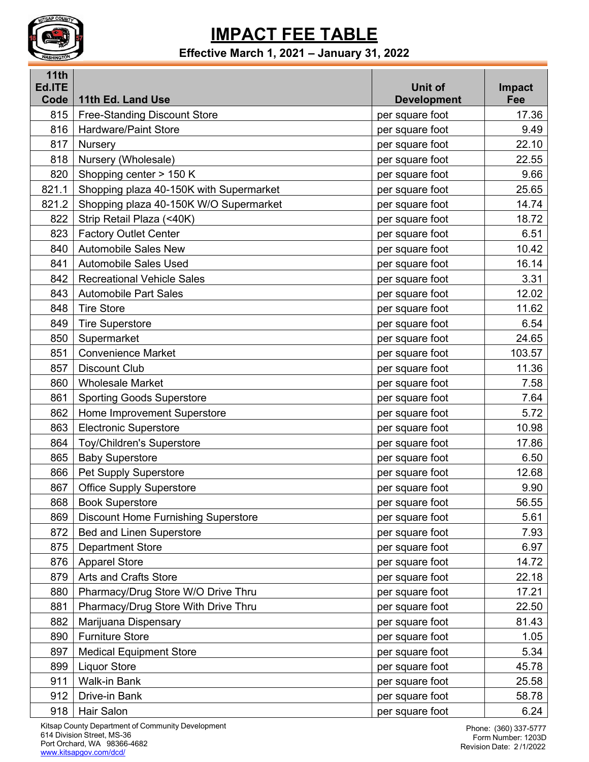

#### **Effective March 1, 2021 – January 31, 2022**

| 11th<br>Ed.ITE |                                            | Unit of            | Impact |
|----------------|--------------------------------------------|--------------------|--------|
| Code           | 11th Ed. Land Use                          | <b>Development</b> | Fee    |
| 815            | <b>Free-Standing Discount Store</b>        | per square foot    | 17.36  |
| 816            | <b>Hardware/Paint Store</b>                | per square foot    | 9.49   |
| 817            | <b>Nursery</b>                             | per square foot    | 22.10  |
| 818            | Nursery (Wholesale)                        | per square foot    | 22.55  |
| 820            | Shopping center > 150 K                    | per square foot    | 9.66   |
| 821.1          | Shopping plaza 40-150K with Supermarket    | per square foot    | 25.65  |
| 821.2          | Shopping plaza 40-150K W/O Supermarket     | per square foot    | 14.74  |
| 822            | Strip Retail Plaza (<40K)                  | per square foot    | 18.72  |
| 823            | <b>Factory Outlet Center</b>               | per square foot    | 6.51   |
| 840            | <b>Automobile Sales New</b>                | per square foot    | 10.42  |
| 841            | <b>Automobile Sales Used</b>               | per square foot    | 16.14  |
| 842            | <b>Recreational Vehicle Sales</b>          | per square foot    | 3.31   |
| 843            | <b>Automobile Part Sales</b>               | per square foot    | 12.02  |
| 848            | <b>Tire Store</b>                          | per square foot    | 11.62  |
| 849            | <b>Tire Superstore</b>                     | per square foot    | 6.54   |
| 850            | Supermarket                                | per square foot    | 24.65  |
| 851            | <b>Convenience Market</b>                  | per square foot    | 103.57 |
| 857            | <b>Discount Club</b>                       | per square foot    | 11.36  |
| 860            | <b>Wholesale Market</b>                    | per square foot    | 7.58   |
| 861            | <b>Sporting Goods Superstore</b>           | per square foot    | 7.64   |
| 862            | Home Improvement Superstore                | per square foot    | 5.72   |
| 863            | <b>Electronic Superstore</b>               | per square foot    | 10.98  |
| 864            | <b>Toy/Children's Superstore</b>           | per square foot    | 17.86  |
| 865            | <b>Baby Superstore</b>                     | per square foot    | 6.50   |
| 866            | Pet Supply Superstore                      | per square foot    | 12.68  |
| 867            | <b>Office Supply Superstore</b>            | per square foot    | 9.90   |
|                | 868   Book Superstore                      | per square foot    | 56.55  |
| 869            | <b>Discount Home Furnishing Superstore</b> | per square foot    | 5.61   |
| 872            | <b>Bed and Linen Superstore</b>            | per square foot    | 7.93   |
| 875            | <b>Department Store</b>                    | per square foot    | 6.97   |
| 876            | <b>Apparel Store</b>                       | per square foot    | 14.72  |
| 879            | <b>Arts and Crafts Store</b>               | per square foot    | 22.18  |
| 880            | Pharmacy/Drug Store W/O Drive Thru         | per square foot    | 17.21  |
| 881            | Pharmacy/Drug Store With Drive Thru        | per square foot    | 22.50  |
| 882            | Marijuana Dispensary                       | per square foot    | 81.43  |
| 890            | <b>Furniture Store</b>                     | per square foot    | 1.05   |
| 897            | <b>Medical Equipment Store</b>             | per square foot    | 5.34   |
| 899            | <b>Liquor Store</b>                        | per square foot    | 45.78  |
| 911            | Walk-in Bank                               | per square foot    | 25.58  |
| 912            | Drive-in Bank                              | per square foot    | 58.78  |
| 918            | Hair Salon                                 | per square foot    | 6.24   |

Kitsap County Department of Community Development Division Street, MS-36 Port Orchard, WA 98366-4682 [www.kitsapgov.com/dcd/](http://www.kitsapgov.com/)